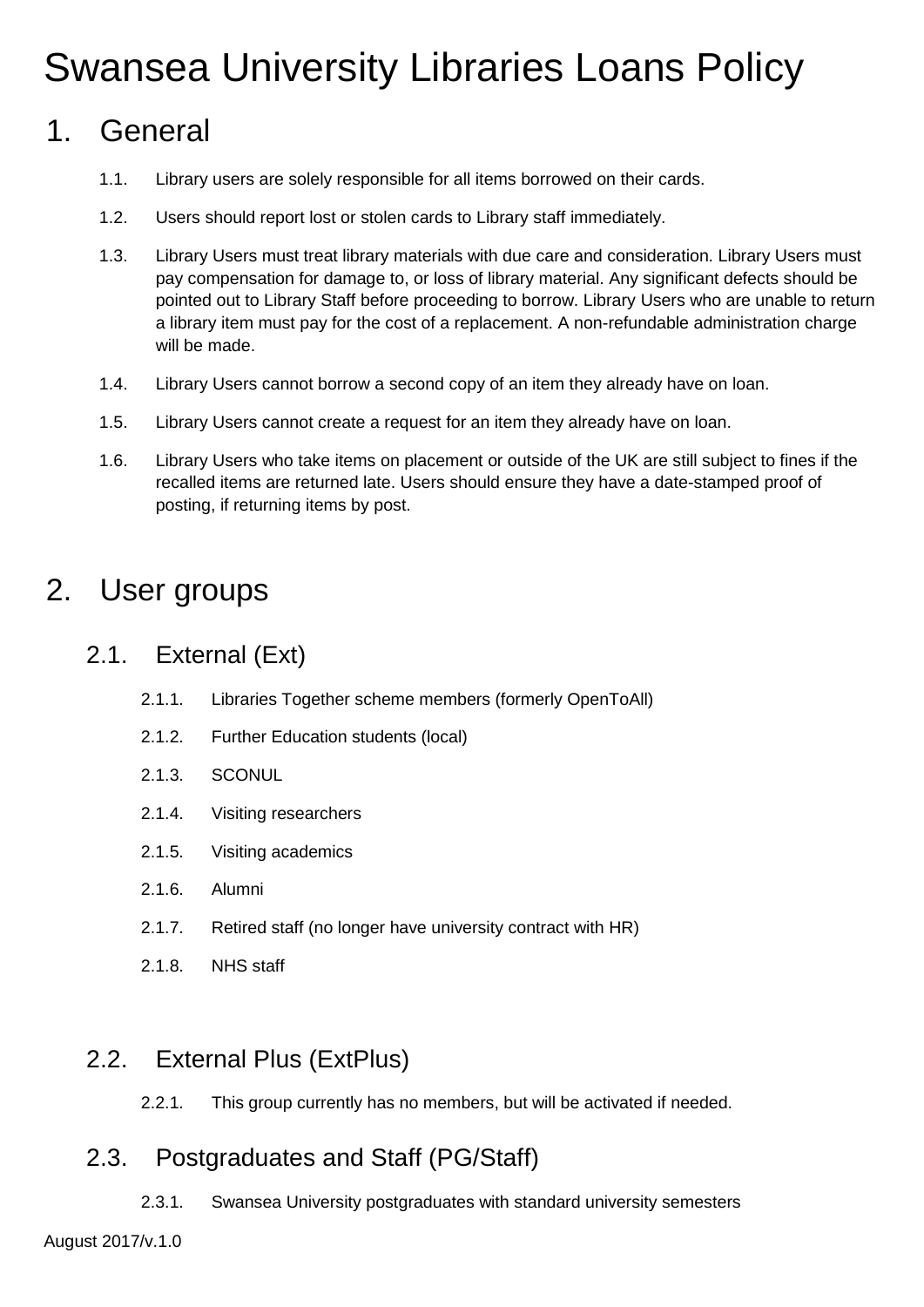# Swansea University Libraries Loans Policy

# 1. General

- 1.1. Library users are solely responsible for all items borrowed on their cards.
- 1.2. Users should report lost or stolen cards to Library staff immediately.
- 1.3. Library Users must treat library materials with due care and consideration. Library Users must pay compensation for damage to, or loss of library material. Any significant defects should be pointed out to Library Staff before proceeding to borrow. Library Users who are unable to return a library item must pay for the cost of a replacement. A non-refundable administration charge will be made.
- 1.4. Library Users cannot borrow a second copy of an item they already have on loan.
- 1.5. Library Users cannot create a request for an item they already have on loan.
- 1.6. Library Users who take items on placement or outside of the UK are still subject to fines if the recalled items are returned late. Users should ensure they have a date-stamped proof of posting, if returning items by post.

# 2. User groups

# 2.1. External (Ext)

- 2.1.1. Libraries Together scheme members (formerly OpenToAll)
- 2.1.2. Further Education students (local)
- 2.1.3. SCONUL
- 2.1.4. Visiting researchers
- 2.1.5. Visiting academics
- 2.1.6. Alumni
- 2.1.7. Retired staff (no longer have university contract with HR)
- 2.1.8. NHS staff

### 2.2. External Plus (ExtPlus)

2.2.1. This group currently has no members, but will be activated if needed.

# 2.3. Postgraduates and Staff (PG/Staff)

2.3.1. Swansea University postgraduates with standard university semesters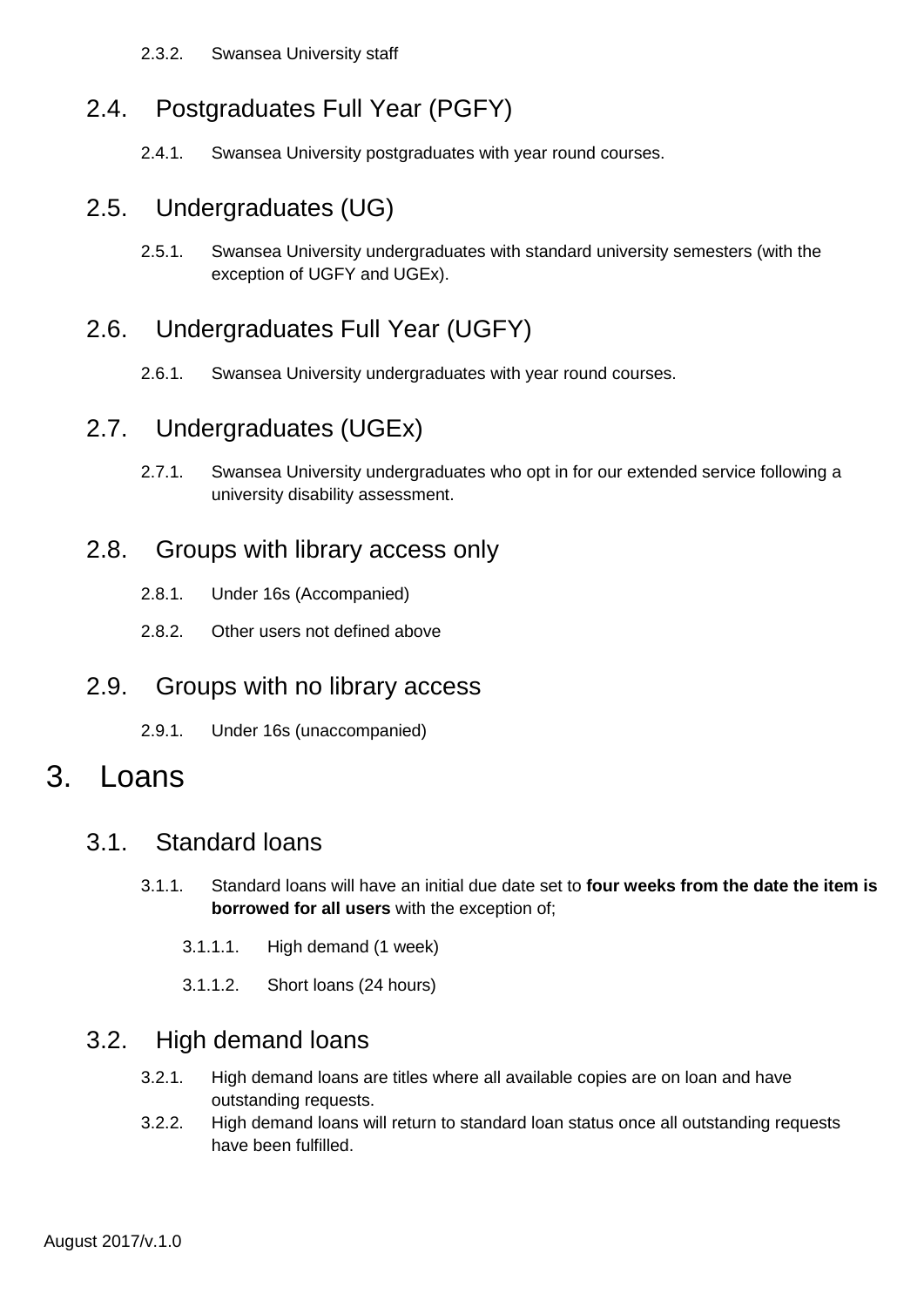2.3.2. Swansea University staff

# 2.4. Postgraduates Full Year (PGFY)

2.4.1. Swansea University postgraduates with year round courses.

#### 2.5. Undergraduates (UG)

2.5.1. Swansea University undergraduates with standard university semesters (with the exception of UGFY and UGEx).

# 2.6. Undergraduates Full Year (UGFY)

2.6.1. Swansea University undergraduates with year round courses.

#### 2.7. Undergraduates (UGEx)

2.7.1. Swansea University undergraduates who opt in for our extended service following a university disability assessment.

#### 2.8. Groups with library access only

- 2.8.1. Under 16s (Accompanied)
- 2.8.2. Other users not defined above

#### 2.9. Groups with no library access

2.9.1. Under 16s (unaccompanied)

# 3. Loans

#### 3.1. Standard loans

- 3.1.1. Standard loans will have an initial due date set to **four weeks from the date the item is borrowed for all users** with the exception of;
	- 3.1.1.1. High demand (1 week)
	- 3.1.1.2. Short loans (24 hours)

#### 3.2. High demand loans

- 3.2.1. High demand loans are titles where all available copies are on loan and have outstanding requests.
- 3.2.2. High demand loans will return to standard loan status once all outstanding requests have been fulfilled.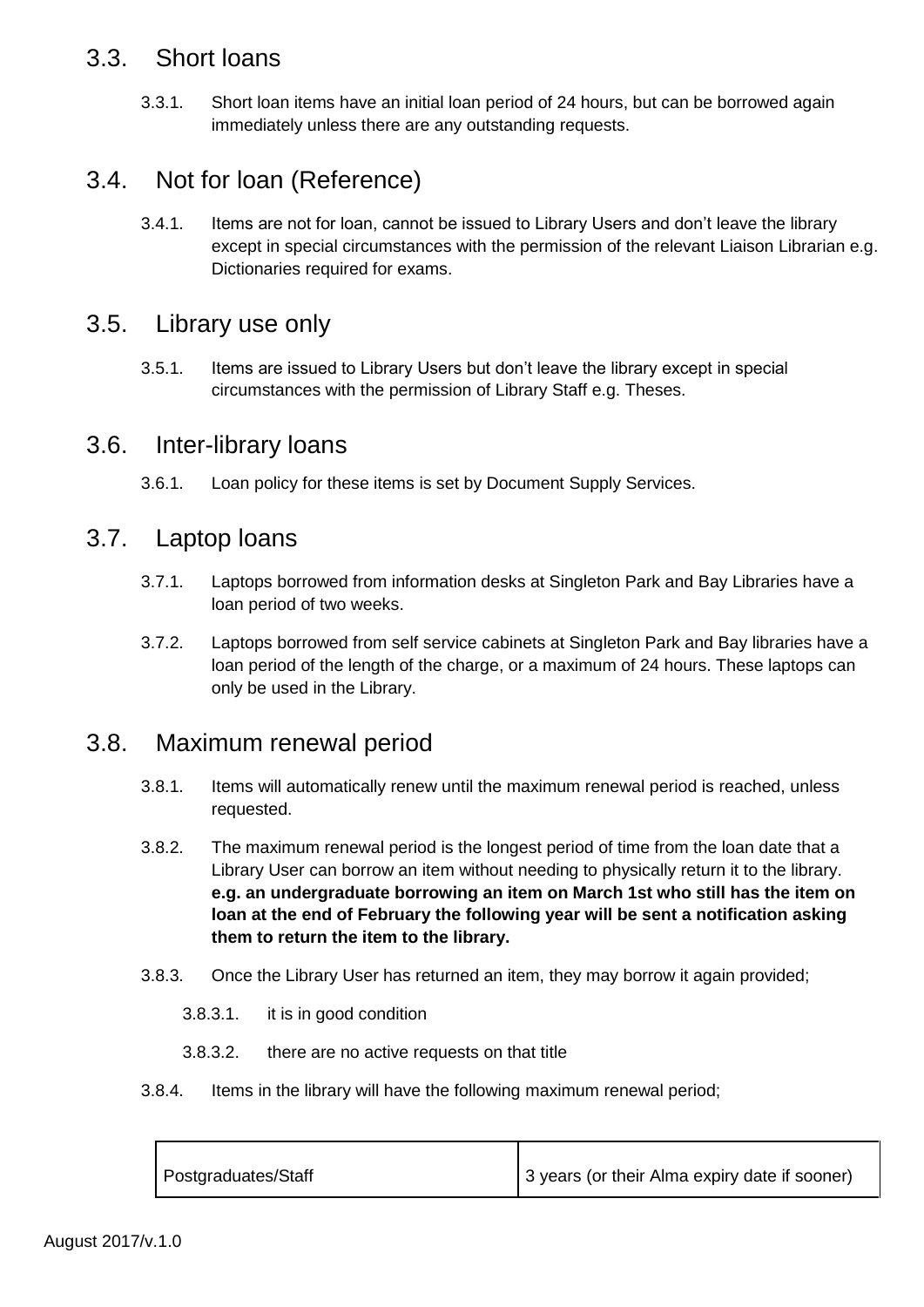#### 3.3. Short loans

3.3.1. Short loan items have an initial loan period of 24 hours, but can be borrowed again immediately unless there are any outstanding requests.

## 3.4. Not for loan (Reference)

3.4.1. Items are not for loan, cannot be issued to Library Users and don't leave the library except in special circumstances with the permission of the relevant Liaison Librarian e.g. Dictionaries required for exams.

#### 3.5. Library use only

3.5.1. Items are issued to Library Users but don't leave the library except in special circumstances with the permission of Library Staff e.g. Theses.

#### 3.6. Inter-library loans

3.6.1. Loan policy for these items is set by Document Supply Services.

#### 3.7. Laptop loans

- 3.7.1. Laptops borrowed from information desks at Singleton Park and Bay Libraries have a loan period of two weeks.
- 3.7.2. Laptops borrowed from self service cabinets at Singleton Park and Bay libraries have a loan period of the length of the charge, or a maximum of 24 hours. These laptops can only be used in the Library.

# 3.8. Maximum renewal period

- 3.8.1. Items will automatically renew until the maximum renewal period is reached, unless requested.
- 3.8.2. The maximum renewal period is the longest period of time from the loan date that a Library User can borrow an item without needing to physically return it to the library. **e.g. an undergraduate borrowing an item on March 1st who still has the item on loan at the end of February the following year will be sent a notification asking them to return the item to the library.**
- 3.8.3. Once the Library User has returned an item, they may borrow it again provided;
	- 3.8.3.1. it is in good condition
	- 3.8.3.2. there are no active requests on that title
- 3.8.4. Items in the library will have the following maximum renewal period;

| Postgraduates/Staff | 3 years (or their Alma expiry date if sooner) |
|---------------------|-----------------------------------------------|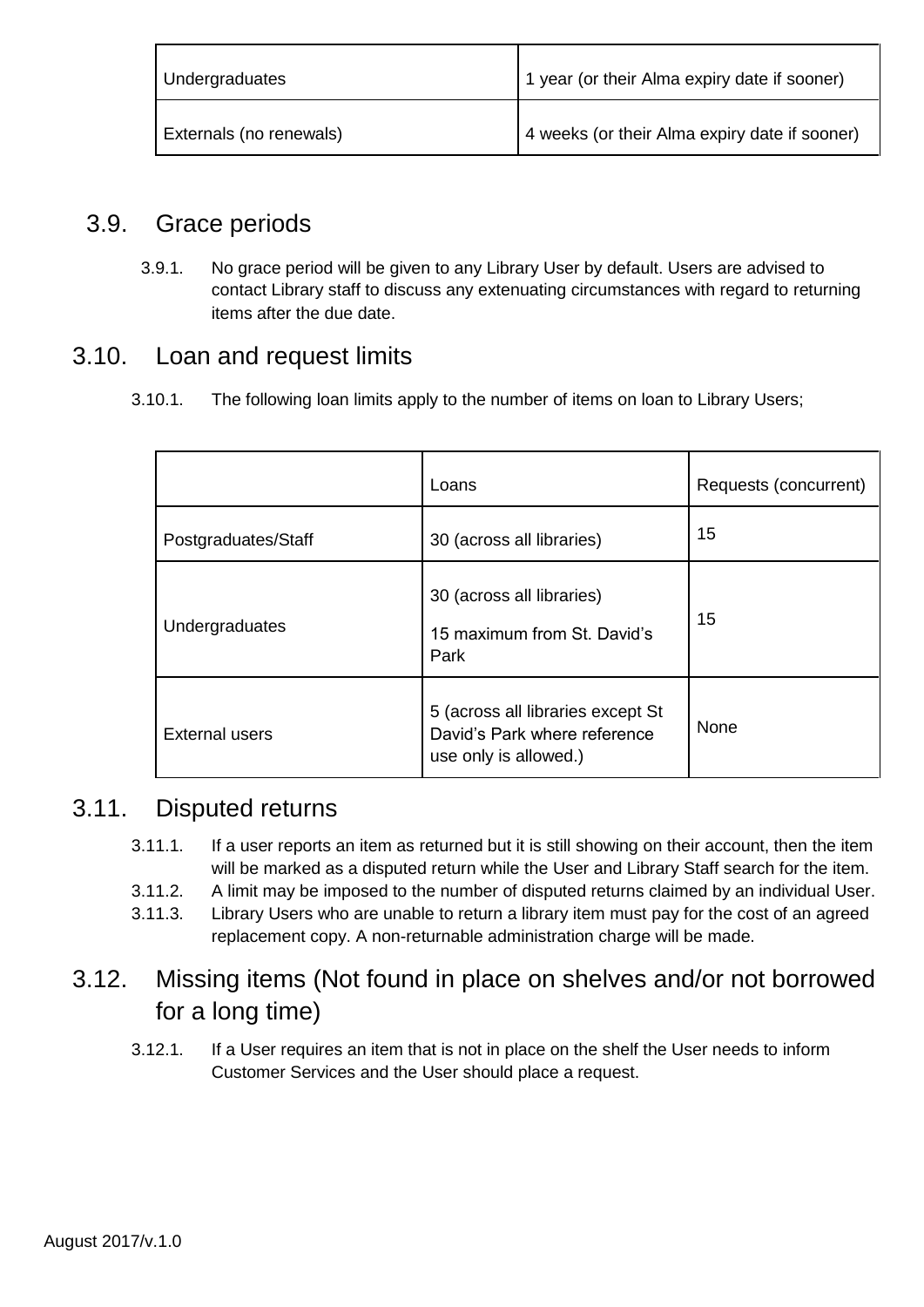| Undergraduates          | 1 year (or their Alma expiry date if sooner)  |
|-------------------------|-----------------------------------------------|
| Externals (no renewals) | 4 weeks (or their Alma expiry date if sooner) |

# 3.9. Grace periods

3.9.1. No grace period will be given to any Library User by default. Users are advised to contact Library staff to discuss any extenuating circumstances with regard to returning items after the due date.

### 3.10. Loan and request limits

3.10.1. The following loan limits apply to the number of items on loan to Library Users;

|                       | Loans                                                                                      | Requests (concurrent) |
|-----------------------|--------------------------------------------------------------------------------------------|-----------------------|
| Postgraduates/Staff   | 30 (across all libraries)                                                                  | 15                    |
| Undergraduates        | 30 (across all libraries)<br>15 maximum from St. David's<br>Park                           | 15                    |
| <b>External users</b> | 5 (across all libraries except St<br>David's Park where reference<br>use only is allowed.) | None                  |

### 3.11. Disputed returns

- 3.11.1. If a user reports an item as returned but it is still showing on their account, then the item will be marked as a disputed return while the User and Library Staff search for the item.
- 3.11.2. A limit may be imposed to the number of disputed returns claimed by an individual User.
- 3.11.3. Library Users who are unable to return a library item must pay for the cost of an agreed replacement copy. A non-returnable administration charge will be made.

# 3.12. Missing items (Not found in place on shelves and/or not borrowed for a long time)

3.12.1. If a User requires an item that is not in place on the shelf the User needs to inform Customer Services and the User should place a request.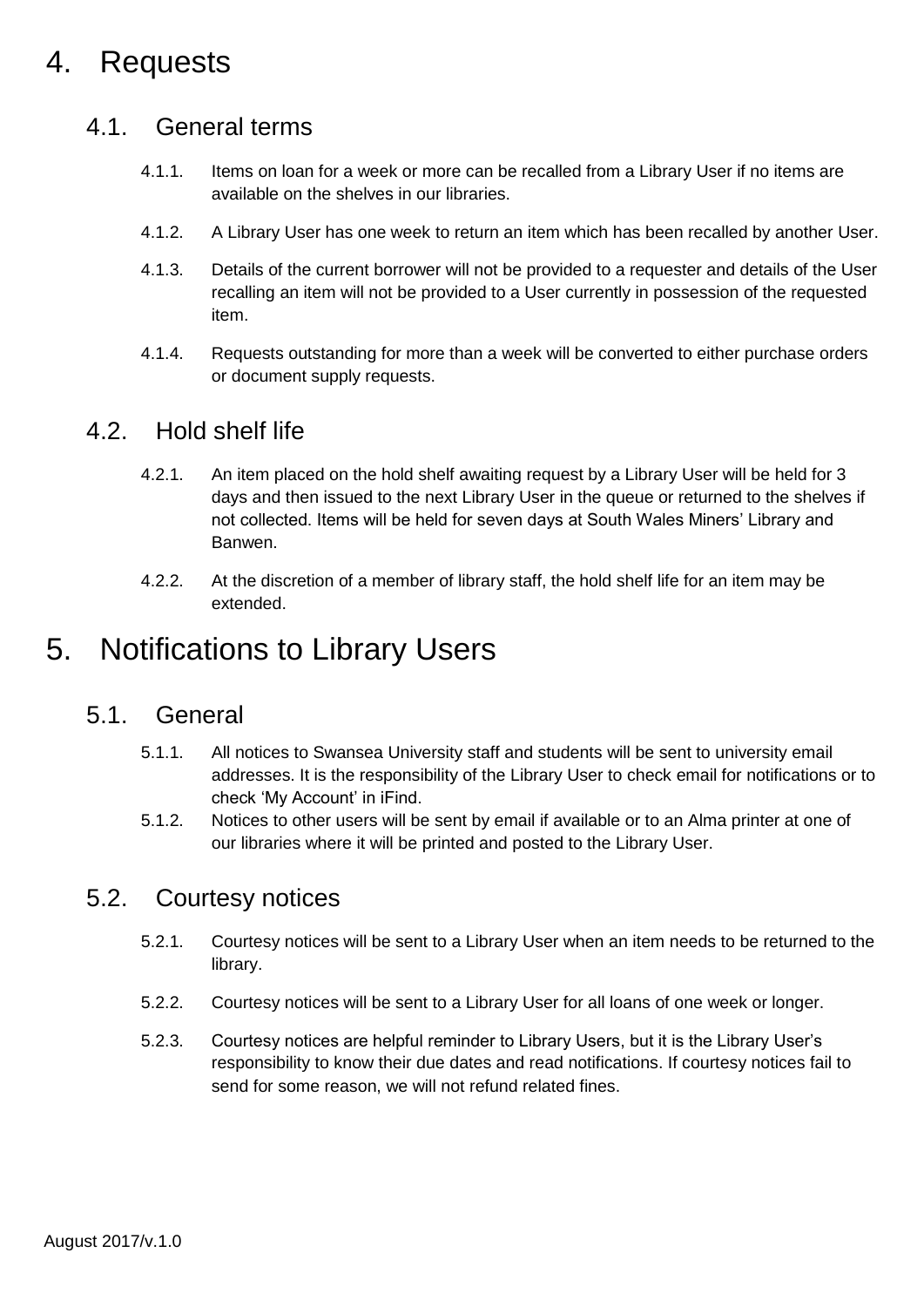# 4. Requests

#### 4.1. General terms

- 4.1.1. Items on loan for a week or more can be recalled from a Library User if no items are available on the shelves in our libraries.
- 4.1.2. A Library User has one week to return an item which has been recalled by another User.
- 4.1.3. Details of the current borrower will not be provided to a requester and details of the User recalling an item will not be provided to a User currently in possession of the requested item.
- 4.1.4. Requests outstanding for more than a week will be converted to either purchase orders or document supply requests.

#### 4.2. Hold shelf life

- 4.2.1. An item placed on the hold shelf awaiting request by a Library User will be held for 3 days and then issued to the next Library User in the queue or returned to the shelves if not collected. Items will be held for seven days at South Wales Miners' Library and Banwen.
- 4.2.2. At the discretion of a member of library staff, the hold shelf life for an item may be extended.

# 5. Notifications to Library Users

#### 5.1. General

- 5.1.1. All notices to Swansea University staff and students will be sent to university email addresses. It is the responsibility of the Library User to check email for notifications or to check 'My Account' in iFind.
- 5.1.2. Notices to other users will be sent by email if available or to an Alma printer at one of our libraries where it will be printed and posted to the Library User.

### 5.2. Courtesy notices

- 5.2.1. Courtesy notices will be sent to a Library User when an item needs to be returned to the library.
- 5.2.2. Courtesy notices will be sent to a Library User for all loans of one week or longer.
- 5.2.3. Courtesy notices are helpful reminder to Library Users, but it is the Library User's responsibility to know their due dates and read notifications. If courtesy notices fail to send for some reason, we will not refund related fines.